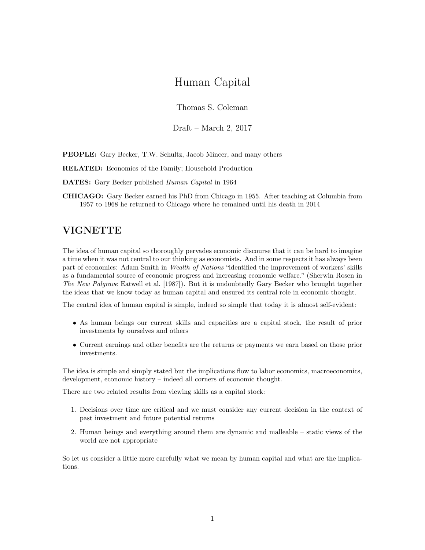# Human Capital

Thomas S. Coleman

Draft – March 2, 2017

PEOPLE: Gary Becker, T.W. Schultz, Jacob Mincer, and many others

RELATED: Economics of the Family; Household Production

DATES: Gary Becker published Human Capital in 1964

CHICAGO: Gary Becker earned his PhD from Chicago in 1955. After teaching at Columbia from 1957 to 1968 he returned to Chicago where he remained until his death in 2014

# VIGNETTE

The idea of human capital so thoroughly pervades economic discourse that it can be hard to imagine a time when it was not central to our thinking as economists. And in some respects it has always been part of economics: Adam Smith in Wealth of Nations "identified the improvement of workers' skills as a fundamental source of economic progress and increasing economic welfare." (Sherwin Rosen in The New Palgrave Eatwell et al. [1987]). But it is undoubtedly Gary Becker who brought together the ideas that we know today as human capital and ensured its central role in economic thought.

The central idea of human capital is simple, indeed so simple that today it is almost self-evident:

- As human beings our current skills and capacities are a capital stock, the result of prior investments by ourselves and others
- Current earnings and other benefits are the returns or payments we earn based on those prior investments.

The idea is simple and simply stated but the implications flow to labor economics, macroeconomics, development, economic history – indeed all corners of economic thought.

There are two related results from viewing skills as a capital stock:

- 1. Decisions over time are critical and we must consider any current decision in the context of past investment and future potential returns
- 2. Human beings and everything around them are dynamic and malleable static views of the world are not appropriate

So let us consider a little more carefully what we mean by human capital and what are the implications.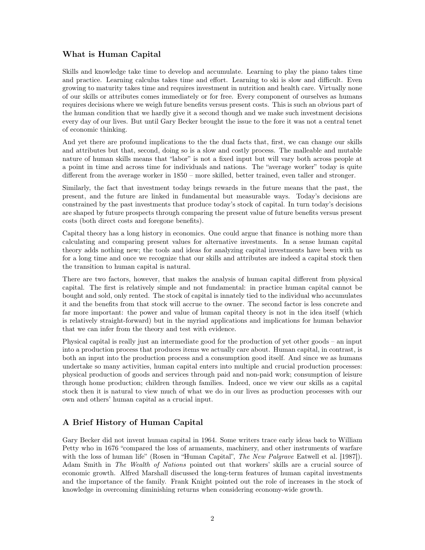#### What is Human Capital

Skills and knowledge take time to develop and accumulate. Learning to play the piano takes time and practice. Learning calculus takes time and effort. Learning to ski is slow and difficult. Even growing to maturity takes time and requires investment in nutrition and health care. Virtually none of our skills or attributes comes immediately or for free. Every component of ourselves as humans requires decisions where we weigh future benefits versus present costs. This is such an obvious part of the human condition that we hardly give it a second though and we make such investment decisions every day of our lives. But until Gary Becker brought the issue to the fore it was not a central tenet of economic thinking.

And yet there are profound implications to the the dual facts that, first, we can change our skills and attributes but that, second, doing so is a slow and costly process. The malleable and mutable nature of human skills means that "labor" is not a fixed input but will vary both across people at a point in time and across time for individuals and nations. The "average worker" today is quite different from the average worker in 1850 – more skilled, better trained, even taller and stronger.

Similarly, the fact that investment today brings rewards in the future means that the past, the present, and the future are linked in fundamental but measurable ways. Today's decisions are constrained by the past investments that produce today's stock of capital. In turn today's decisions are shaped by future prospects through comparing the present value of future benefits versus present costs (both direct costs and foregone benefits).

Capital theory has a long history in economics. One could argue that finance is nothing more than calculating and comparing present values for alternative investments. In a sense human capital theory adds nothing new; the tools and ideas for analyzing capital investments have been with us for a long time and once we recognize that our skills and attributes are indeed a capital stock then the transition to human capital is natural.

There are two factors, however, that makes the analysis of human capital different from physical capital. The first is relatively simple and not fundamental: in practice human capital cannot be bought and sold, only rented. The stock of capital is innately tied to the individual who accumulates it and the benefits from that stock will accrue to the owner. The second factor is less concrete and far more important: the power and value of human capital theory is not in the idea itself (which is relatively straight-forward) but in the myriad applications and implications for human behavior that we can infer from the theory and test with evidence.

Physical capital is really just an intermediate good for the production of yet other goods – an input into a production process that produces items we actually care about. Human capital, in contrast, is both an input into the production process and a consumption good itself. And since we as humans undertake so many activities, human capital enters into multiple and crucial production processes: physical production of goods and services through paid and non-paid work; consumption of leisure through home production; children through families. Indeed, once we view our skills as a capital stock then it is natural to view much of what we do in our lives as production processes with our own and others' human capital as a crucial input.

## A Brief History of Human Capital

Gary Becker did not invent human capital in 1964. Some writers trace early ideas back to William Petty who in 1676 "compared the loss of armaments, machinery, and other instruments of warfare with the loss of human life" (Rosen in "Human Capital", *The New Palgrave* Eatwell et al. [1987]). Adam Smith in The Wealth of Nations pointed out that workers' skills are a crucial source of economic growth. Alfred Marshall discussed the long-term features of human capital investments and the importance of the family. Frank Knight pointed out the role of increases in the stock of knowledge in overcoming diminishing returns when considering economy-wide growth.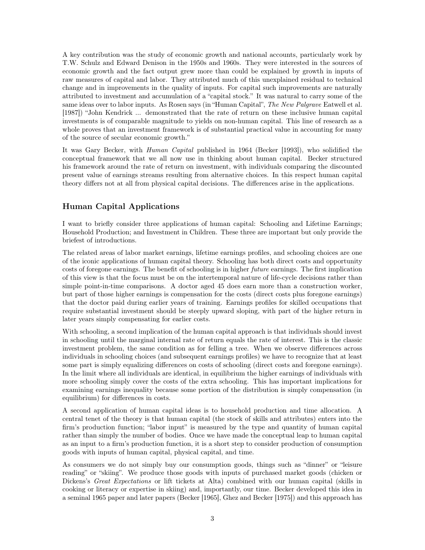A key contribution was the study of economic growth and national accounts, particularly work by T.W. Schulz and Edward Denison in the 1950s and 1960s. They were interested in the sources of economic growth and the fact output grew more than could be explained by growth in inputs of raw measures of capital and labor. They attributed much of this unexplained residual to technical change and in improvements in the quality of inputs. For capital such improvements are naturally attributed to investment and accumulation of a "capital stock." It was natural to carry some of the same ideas over to labor inputs. As Rosen says (in "Human Capital", The New Palgrave Eatwell et al. [1987]) "John Kendrick ... demonstrated that the rate of return on these inclusive human capital investments is of comparable magnitude to yields on non-human capital. This line of research as a whole proves that an investment framework is of substantial practical value in accounting for many of the source of secular economic growth."

It was Gary Becker, with Human Capital published in 1964 (Becker [1993]), who solidified the conceptual framework that we all now use in thinking about human capital. Becker structured his framework around the rate of return on investment, with individuals comparing the discounted present value of earnings streams resulting from alternative choices. In this respect human capital theory differs not at all from physical capital decisions. The differences arise in the applications.

### Human Capital Applications

I want to briefly consider three applications of human capital: Schooling and Lifetime Earnings; Household Production; and Investment in Children. These three are important but only provide the briefest of introductions.

The related areas of labor market earnings, lifetime earnings profiles, and schooling choices are one of the iconic applications of human capital theory. Schooling has both direct costs and opportunity costs of foregone earnings. The benefit of schooling is in higher future earnings. The first implication of this view is that the focus must be on the intertemporal nature of life-cycle decisions rather than simple point-in-time comparisons. A doctor aged 45 does earn more than a construction worker, but part of those higher earnings is compensation for the costs (direct costs plus foregone earnings) that the doctor paid during earlier years of training. Earnings profiles for skilled occupations that require substantial investment should be steeply upward sloping, with part of the higher return in later years simply compensating for earlier costs.

With schooling, a second implication of the human capital approach is that individuals should invest in schooling until the marginal internal rate of return equals the rate of interest. This is the classic investment problem, the same condition as for felling a tree. When we observe differences across individuals in schooling choices (and subsequent earnings profiles) we have to recognize that at least some part is simply equalizing differences on costs of schooling (direct costs and foregone earnings). In the limit where all individuals are identical, in equilibrium the higher earnings of individuals with more schooling simply cover the costs of the extra schooling. This has important implications for examining earnings inequality because some portion of the distribution is simply compensation (in equilibrium) for differences in costs.

A second application of human capital ideas is to household production and time allocation. A central tenet of the theory is that human capital (the stock of skills and attributes) enters into the firm's production function; "labor input" is measured by the type and quantity of human capital rather than simply the number of bodies. Once we have made the conceptual leap to human capital as an input to a firm's production function, it is a short step to consider production of consumption goods with inputs of human capital, physical capital, and time.

As consumers we do not simply buy our consumption goods, things such as "dinner" or "leisure reading" or "skiing". We produce those goods with inputs of purchased market goods (chicken or Dickens's Great Expectations or lift tickets at Alta) combined with our human capital (skills in cooking or literacy or expertise in skiing) and, importantly, our time. Becker developed this idea in a seminal 1965 paper and later papers (Becker [1965], Ghez and Becker [1975]) and this approach has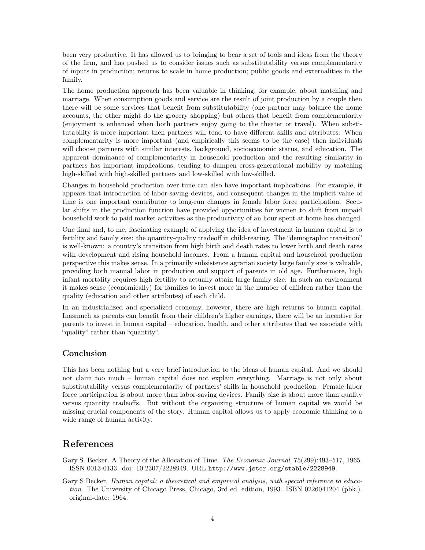been very productive. It has allowed us to bringing to bear a set of tools and ideas from the theory of the firm, and has pushed us to consider issues such as substitutability versus complementarity of inputs in production; returns to scale in home production; public goods and externalities in the family.

The home production approach has been valuable in thinking, for example, about matching and marriage. When consumption goods and service are the result of joint production by a couple then there will be some services that benefit from substitutability (one partner may balance the home accounts, the other might do the grocery shopping) but others that benefit from complementarity (enjoyment is enhanced when both partners enjoy going to the theater or travel). When substitutability is more important then partners will tend to have different skills and attributes. When complementarity is more important (and empirically this seems to be the case) then individuals will choose partners with similar interests, background, socioeconomic status, and education. The apparent dominance of complementarity in household production and the resulting similarity in partners has important implications, tending to dampen cross-generational mobility by matching high-skilled with high-skilled partners and low-skilled with low-skilled.

Changes in household production over time can also have important implications. For example, it appears that introduction of labor-saving devices, and consequent changes in the implicit value of time is one important contributor to long-run changes in female labor force participation. Secular shifts in the production function have provided opportunities for women to shift from unpaid household work to paid market activities as the productivity of an hour spent at home has changed.

One final and, to me, fascinating example of applying the idea of investment in human capital is to fertility and family size: the quantity-quality tradeoff in child-rearing. The "demographic transition" is well-known: a country's transition from high birth and death rates to lower birth and death rates with development and rising household incomes. From a human capital and household production perspective this makes sense. In a primarily subsistence agrarian society large family size is valuable, providing both manual labor in production and support of parents in old age. Furthermore, high infant mortality requires high fertility to actually attain large family size. In such an environment it makes sense (economically) for families to invest more in the number of children rather than the quality (education and other attributes) of each child.

In an industrialized and specialized economy, however, there are high returns to human capital. Inasmuch as parents can benefit from their children's higher earnings, there will be an incentive for parents to invest in human capital – education, health, and other attributes that we associate with "quality" rather than "quantity".

#### Conclusion

This has been nothing but a very brief introduction to the ideas of human capital. And we should not claim too much – human capital does not explain everything. Marriage is not only about substitutability versus complementarity of partners' skills in household production. Female labor force participation is about more than labor-saving devices. Family size is about more than quality versus quantity tradeoffs. But without the organizing structure of human capital we would be missing crucial components of the story. Human capital allows us to apply economic thinking to a wide range of human activity.

# References

Gary S. Becker. A Theory of the Allocation of Time. The Economic Journal, 75(299):493–517, 1965. ISSN 0013-0133. doi: 10.2307/2228949. URL http://www.jstor.org/stable/2228949.

Gary S Becker. Human capital: a theoretical and empirical analysis, with special reference to education. The University of Chicago Press, Chicago, 3rd ed. edition, 1993. ISBN 0226041204 (pbk.). original-date: 1964.